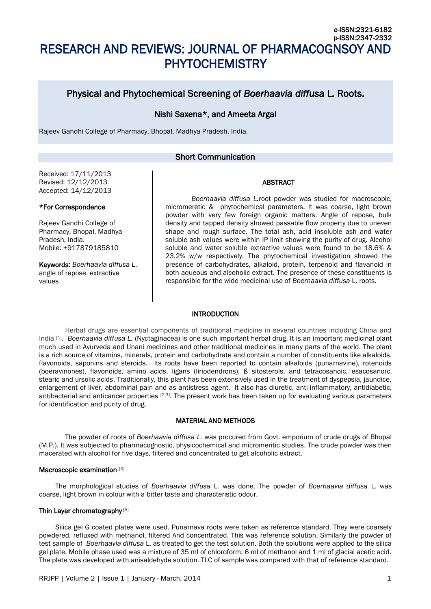# Physical and Phytochemical Screening of *Boerhaavia diffusa* L*.* Roots.

# Nishi Saxena\*, and Ameeta Argal

Rajeev Gandhi College of Pharmacy, Bhopal, Madhya Pradesh, India.

# Short Communication

## Received: 17/11/2013 Revised: 12/12/2013 Accepted: 14/12/2013

## ABSTRACT

e-ISSN:2321-6182

# \*For Correspondence

Rajeev Gandhi College of Pharmacy, Bhopal, Madhya Pradesh, India. Mobile: +917879185810

Keywords: *Boerhaavia diffusa L*, angle of repose, extractive values

*Boerhaavia diffusa L.*root powder was studied for macroscopic, micromeretic & phytochemical parameters. It was coarse, light brown powder with very few foreign organic matters. Angle of repose, bulk density and tapped density showed passable flow property due to uneven shape and rough surface. The total ash, acid insoluble ash and water soluble ash values were within IP limit showing the purity of drug. Alcohol soluble and water soluble extractive values were found to be 18.6% & 23.2% w/w respectively. The phytochemical investigation showed the presence of carbohydrates, alkaloid, protein, terpenoid and flavanoid in both aqueous and alcoholic extract. The presence of these constituents is responsible for the wide medicinal use of *Boerhaavia diffusa* L. roots.

## **INTRODUCTION**

Herbal drugs are essential components of traditional medicine in several countries including China and India [1] . *Boerhaavia diffusa L.* (Nyctaginacea) is one such important herbal drug. It is an important medicinal plant much used in Ayurveda and Unani medicines and other traditional medicines in many parts of the world. The plant is a rich source of vitamins, minerals, protein and carbohydrate and contain a number of constituents like alkaloids, flavonoids, saponins and steroids. Its roots have been reported to contain alkaloids (punarnavine), rotenoids (boeravinones), flavonoids, amino acids, ligans (liriodendrons), ß sitosterols, and tetracosanoic, esacosanoic, stearic and ursolic acids. Traditionally, this plant has been extensively used in the treatment of dyspepsia, jaundice, enlargement of liver, abdominal pain and as antistress agent. It also has diuretic, anti-inflammatory, antidiabetic, antibacterial and anticancer properties [2,3]. The present work has been taken up for evaluating various parameters for identification and purity of drug.

## MATERIAL AND METHODS

The powder of roots of *Boerhaavia diffusa L.* was procured from Govt. emporium of crude drugs of Bhopal (M.P.). It was subjected to pharmacognostic, physicochemical and micromeritic studies. The crude powder was then macerated with alcohol for five days, filtered and concentrated to get alcoholic extract.

#### Macroscopic examination [4]

The morphological studies of *Boerhaavia diffusa* L. was done. The powder of *Boerhaavia diffusa* L. was coarse, light brown in colour with a bitter taste and characteristic odour.

## Thin Layer chromatography [5]

Silica gel G coated plates were used. Punarnava roots were taken as reference standard. They were coarsely powdered, refluxed with methanol, filtered And concentrated. This was reference solution. Similarly the powder of test sample of *Boerhaavia diffusa* L. as treated to get the test solution. Both the solutions were applied to the silica gel plate. Mobile phase used was a mixture of 35 ml of chloroform, 6 ml of methanol and 1 ml of glacial acetic acid. The plate was developed with anisaldehyde solution. TLC of sample was compared with that of reference standard.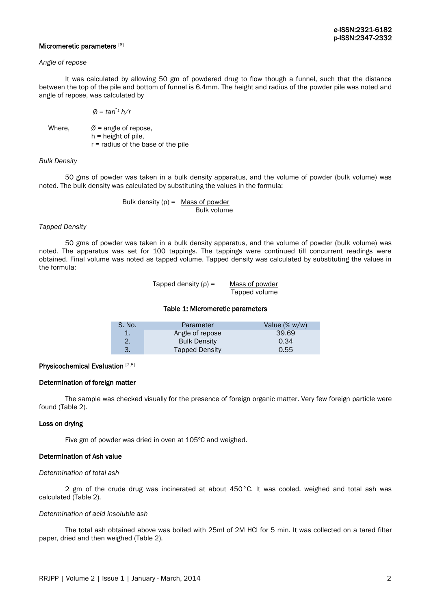### Micromeretic parameters [6]

#### *Angle of repose*

 It was calculated by allowing 50 gm of powdered drug to flow though a funnel, such that the distance between the top of the pile and bottom of funnel is 6.4mm. The height and radius of the powder pile was noted and angle of repose, was calculated by

$$
\emptyset = \tan^{-1} h/r
$$

Where,  $\emptyset$  = angle of repose, h = height of pile, r = radius of the base of the pile

## *Bulk Density*

50 gms of powder was taken in a bulk density apparatus, and the volume of powder (bulk volume) was noted. The bulk density was calculated by substituting the values in the formula:

## Bulk density  $(p) =$  Mass of powder Bulk volume

## *Tapped Density*

50 gms of powder was taken in a bulk density apparatus, and the volume of powder (bulk volume) was noted. The apparatus was set for 100 tappings. The tappings were continued till concurrent readings were obtained. Final volume was noted as tapped volume. Tapped density was calculated by substituting the values in the formula:

> Tapped density  $(\rho) =$  Mass of powder Tapped volume

#### Table 1: Micromeretic parameters

| S. No. | Parameter             | Value $(\% w/w)$ |
|--------|-----------------------|------------------|
|        | Angle of repose       | 39.69            |
|        | <b>Bulk Density</b>   | 0.34             |
|        | <b>Tapped Density</b> | 0.55             |

#### Physicochemical Evaluation [7,8]

# Determination of foreign matter

 The sample was checked visually for the presence of foreign organic matter. Very few foreign particle were found (Table 2).

## Loss on drying

Five gm of powder was dried in oven at 105ºC and weighed.

## Determination of Ash value

#### *Determination of total ash*

2 gm of the crude drug was incinerated at about 450°C. It was cooled, weighed and total ash was calculated (Table 2).

## *Determination of acid insoluble ash*

The total ash obtained above was boiled with 25ml of 2M HCl for 5 min. It was collected on a tared filter paper, dried and then weighed (Table 2).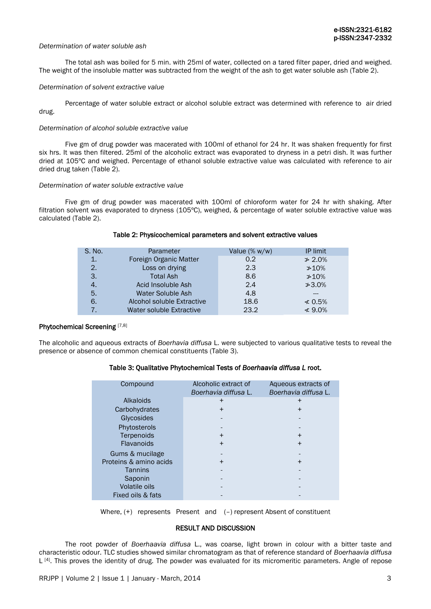#### *Determination of water soluble ash*

 The total ash was boiled for 5 min. with 25ml of water, collected on a tared filter paper, dried and weighed. The weight of the insoluble matter was subtracted from the weight of the ash to get water soluble ash (Table 2).

#### *Determination of solvent extractive value*

Percentage of water soluble extract or alcohol soluble extract was determined with reference to air dried drug.

#### *Determination of alcohol soluble extractive value*

Five gm of drug powder was macerated with 100ml of ethanol for 24 hr. It was shaken frequently for first six hrs. It was then filtered. 25ml of the alcoholic extract was evaporated to dryness in a petri dish. It was further dried at 105ºC and weighed. Percentage of ethanol soluble extractive value was calculated with reference to air dried drug taken (Table 2).

## *Determination of water soluble extractive value*

Five gm of drug powder was macerated with 100ml of chloroform water for 24 hr with shaking. After filtration solvent was evaporated to dryness (105ºC), weighed, & percentage of water soluble extractive value was calculated (Table 2).

# Table 2: Physicochemical parameters and solvent extractive values

| S. No. | Parameter                  | Value $(\% w/w)$ | IP limit     |
|--------|----------------------------|------------------|--------------|
| $1$ .  | Foreign Organic Matter     | 0.2              | $\geq 2.0\%$ |
| 2.     | Loss on drying             | 2.3              | $*10%$       |
| 3.     | <b>Total Ash</b>           | 8.6              | $*10%$       |
| 4.     | Acid Insoluble Ash         | 2.4              | $*3.0\%$     |
| 5.     | Water Soluble Ash          | 4.8              |              |
| 6.     | Alcohol soluble Extractive | 18.6             | $\leq 0.5\%$ |
| 7.     | Water soluble Extractive   | 23.2             | $\leq 9.0\%$ |

#### Phytochemical Screening [7,8]

The alcoholic and aqueous extracts of *Boerhavia diffusa* L. were subjected to various qualitative tests to reveal the presence or absence of common chemical constituents (Table 3).

## Table 3: Qualitative Phytochemical Tests of *Boerhaavia diffusa L* root.

| Compound               | Alcoholic extract of<br>Boerhavia diffusa L. | Aqueous extracts of<br>Boerhavia diffusa L. |
|------------------------|----------------------------------------------|---------------------------------------------|
| Alkaloids              | ┿                                            | ٠                                           |
| Carbohydrates          | $\div$                                       |                                             |
| Glycosides             |                                              |                                             |
| Phytosterols           |                                              |                                             |
| Terpenoids             | ┿                                            |                                             |
| <b>Flavanoids</b>      | ┿                                            |                                             |
| Gums & mucilage        |                                              |                                             |
| Proteins & amino acids | $\div$                                       | $\ddot{}$                                   |
| Tannins                |                                              |                                             |
| Saponin                |                                              |                                             |
| <b>Volatile oils</b>   |                                              |                                             |
| Fixed oils & fats      |                                              |                                             |

Where, (+) represents Present and (-) represent Absent of constituent

## RESULT AND DISCUSSION

The root powder of *Boerhaavia diffusa* L., was coarse, light brown in colour with a bitter taste and characteristic odour. TLC studies showed similar chromatogram as that of reference standard of *Boerhaavia diffusa*  L<sup>[4]</sup>. This proves the identity of drug. The powder was evaluated for its micromeritic parameters. Angle of repose